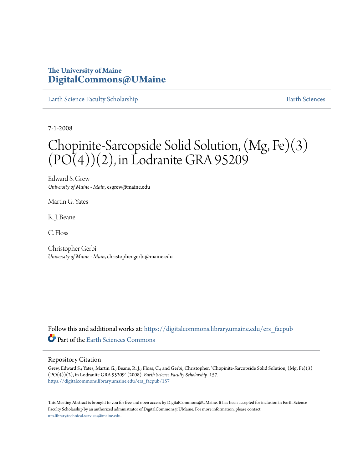## **The University of Maine [DigitalCommons@UMaine](https://digitalcommons.library.umaine.edu?utm_source=digitalcommons.library.umaine.edu%2Fers_facpub%2F157&utm_medium=PDF&utm_campaign=PDFCoverPages)**

[Earth Science Faculty Scholarship](https://digitalcommons.library.umaine.edu/ers_facpub?utm_source=digitalcommons.library.umaine.edu%2Fers_facpub%2F157&utm_medium=PDF&utm_campaign=PDFCoverPages) **[Earth Sciences](https://digitalcommons.library.umaine.edu/ers?utm_source=digitalcommons.library.umaine.edu%2Fers_facpub%2F157&utm_medium=PDF&utm_campaign=PDFCoverPages)** 

7-1-2008

# Chopinite-Sarcopside Solid Solution, (Mg, Fe)(3)  $(PO(4))(2)$ , in Lodranite GRA 95209

Edward S. Grew *University of Maine - Main*, esgrew@maine.edu

Martin G. Yates

R. J. Beane

C. Floss

Christopher Gerbi *University of Maine - Main*, christopher.gerbi@maine.edu

Follow this and additional works at: [https://digitalcommons.library.umaine.edu/ers\\_facpub](https://digitalcommons.library.umaine.edu/ers_facpub?utm_source=digitalcommons.library.umaine.edu%2Fers_facpub%2F157&utm_medium=PDF&utm_campaign=PDFCoverPages) Part of the [Earth Sciences Commons](http://network.bepress.com/hgg/discipline/153?utm_source=digitalcommons.library.umaine.edu%2Fers_facpub%2F157&utm_medium=PDF&utm_campaign=PDFCoverPages)

### Repository Citation

Grew, Edward S.; Yates, Martin G.; Beane, R. J.; Floss, C.; and Gerbi, Christopher, "Chopinite-Sarcopside Solid Solution, (Mg, Fe)(3) (PO(4))(2), in Lodranite GRA 95209" (2008). *Earth Science Faculty Scholarship*. 157. [https://digitalcommons.library.umaine.edu/ers\\_facpub/157](https://digitalcommons.library.umaine.edu/ers_facpub/157?utm_source=digitalcommons.library.umaine.edu%2Fers_facpub%2F157&utm_medium=PDF&utm_campaign=PDFCoverPages)

This Meeting Abstract is brought to you for free and open access by DigitalCommons@UMaine. It has been accepted for inclusion in Earth Science Faculty Scholarship by an authorized administrator of DigitalCommons@UMaine. For more information, please contact [um.library.technical.services@maine.edu](mailto:um.library.technical.services@maine.edu).